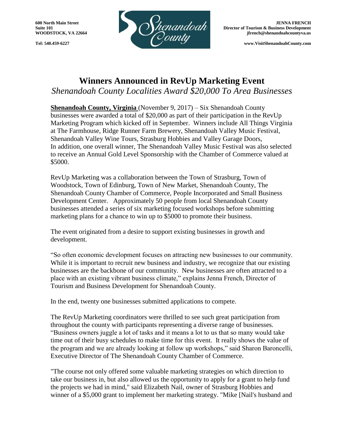

**WOODSTOCK, VA 22664 jfrench@shenandoahcountyva.us** 

## **Winners Announced in RevUp Marketing Event** *Shenandoah County Localities Award \$20,000 To Area Businesses*

**Shenandoah County, Virginia** (November 9, 2017) – Six Shenandoah County businesses were awarded a total of \$20,000 as part of their participation in the RevUp Marketing Program which kicked off in September. Winners include All Things Virginia at The Farmhouse, Ridge Runner Farm Brewery, Shenandoah Valley Music Festival, Shenandoah Valley Wine Tours, Strasburg Hobbies and Valley Garage Doors, In addition, one overall winner, The Shenandoah Valley Music Festival was also selected to receive an Annual Gold Level Sponsorship with the Chamber of Commerce valued at \$5000.

RevUp Marketing was a collaboration between the Town of Strasburg, Town of Woodstock, Town of Edinburg, Town of New Market, Shenandoah County, The Shenandoah County Chamber of Commerce, People Incorporated and Small Business Development Center. Approximately 50 people from local Shenandoah County businesses attended a series of six marketing focused workshops before submitting marketing plans for a chance to win up to \$5000 to promote their business.

The event originated from a desire to support existing businesses in growth and development.

"So often economic development focuses on attracting new businesses to our community. While it is important to recruit new business and industry, we recognize that our existing businesses are the backbone of our community. New businesses are often attracted to a place with an existing vibrant business climate," explains Jenna French, Director of Tourism and Business Development for Shenandoah County.

In the end, twenty one businesses submitted applications to compete.

The RevUp Marketing coordinators were thrilled to see such great participation from throughout the county with participants representing a diverse range of businesses. "Business owners juggle a lot of tasks and it means a lot to us that so many would take time out of their busy schedules to make time for this event. It really shows the value of the program and we are already looking at follow up workshops," said Sharon Baroncelli, Executive Director of The Shenandoah County Chamber of Commerce.

"The course not only offered some valuable marketing strategies on which direction to take our business in, but also allowed us the opportunity to apply for a grant to help fund the projects we had in mind," said Elizabeth Nail, owner of Strasburg Hobbies and winner of a \$5,000 grant to implement her marketing strategy. "Mike [Nail's husband and